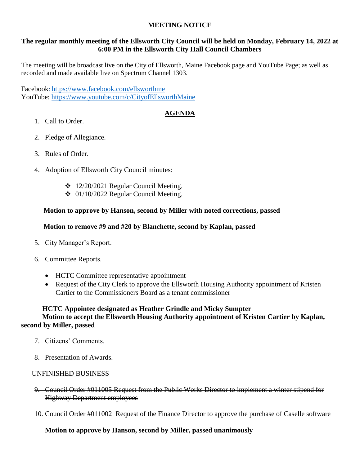# **MEETING NOTICE**

# **The regular monthly meeting of the Ellsworth City Council will be held on Monday, February 14, 2022 at 6:00 PM in the Ellsworth City Hall Council Chambers**

The meeting will be broadcast live on the City of Ellsworth, Maine Facebook page and YouTube Page; as well as recorded and made available live on Spectrum Channel 1303.

Facebook: <https://www.facebook.com/ellsworthme> YouTube:<https://www.youtube.com/c/CityofEllsworthMaine>

# **AGENDA**

- 1. Call to Order.
- 2. Pledge of Allegiance.
- 3. Rules of Order.
- 4. Adoption of Ellsworth City Council minutes:
	- $\div$  12/20/2021 Regular Council Meeting.
	- $\div$  01/10/2022 Regular Council Meeting.

# **Motion to approve by Hanson, second by Miller with noted corrections, passed**

# **Motion to remove #9 and #20 by Blanchette, second by Kaplan, passed**

- 5. City Manager's Report.
- 6. Committee Reports.
	- HCTC Committee representative appointment
	- Request of the City Clerk to approve the Ellsworth Housing Authority appointment of Kristen Cartier to the Commissioners Board as a tenant commissioner

#### **HCTC Appointee designated as Heather Grindle and Micky Sumpter Motion to accept the Ellsworth Housing Authority appointment of Kristen Cartier by Kaplan, second by Miller, passed**

- 7. Citizens' Comments.
- 8. Presentation of Awards.

#### UNFINISHED BUSINESS

- 9. Council Order #011005 Request from the Public Works Director to implement a winter stipend for Highway Department employees
- 10. Council Order #011002 Request of the Finance Director to approve the purchase of Caselle software

# **Motion to approve by Hanson, second by Miller, passed unanimously**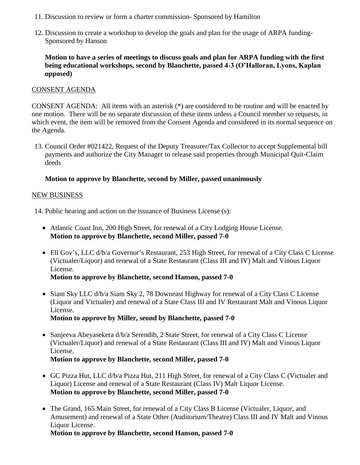- 11. Discussion to review or form a charter commission- Sponsored by Hamilton
- 12. Discussion to create a workshop to develop the goals and plan for the usage of ARPA funding-Sponsored by Hanson

**Motion to have a series of meetings to discuss goals and plan for ARPA funding with the first being educational workshops, second by Blanchette, passed 4-3 (O'Halloran, Lyons, Kaplan opposed)**

#### CONSENT AGENDA

CONSENT AGENDA: All items with an asterisk (\*) are considered to be routine and will be enacted by one motion. There will be no separate discussion of these items unless a Council member so requests, in which event, the item will be removed from the Consent Agenda and considered in its normal sequence on the Agenda.

13. Council Order #021422, Request of the Deputy Treasurer/Tax Collector to accept Supplemental bill payments and authorize the City Manager to release said properties through Municipal Quit-Claim deeds

# **Motion to approve by Blanchette, second by Miller, passed unanimously**

# NEW BUSINESS

14. Public hearing and action on the issuance of Business License (s):

- Atlantic Coast Inn, 200 High Street, for renewal of a City Lodging House License. **Motion to approve by Blanchette, second Miller, passed 7-0**
- Ell Gov's, LLC d/b/a Governor's Restaurant, 253 High Street, for renewal of a City Class C License (Victualer/Liquor) and renewal of a State Restaurant (Class III and IV) Malt and Vinous Liquor License.

**Motion to approve by Blanchette, second Hanson, passed 7-0**

• Siam Sky LLC d/b/a Siam Sky 2, 78 Downeast Highway for renewal of a City Class C License (Liquor and Victualer) and renewal of a State Class III and IV Restaurant Malt and Vinous Liquor License.

**Motion to approve by Miller, seond by Blanchette, passed 7-0**

 Sanjeeva Abeyasekera d/b/a Serendib, 2 State Street, for renewal of a City Class C License (Victualer/Liquor) and renewal of a State Restaurant (Class III and IV) Malt and Vinous Liquor License.

**Motion to approve by Blanchette, second Miller, passed 7-0**

- GC Pizza Hut, LLC d/b/a Pizza Hut, 211 High Street, for renewal of a City Class C (Victualer and Liquor) License and renewal of a State Restaurant (Class IV) Malt Liquor License. **Motion to approve by Blanchette, second Miller, passed 7-0**
- The Grand, 165 Main Street, for renewal of a City Class B License (Victualer, Liquor, and Amusement) and renewal of a State Other (Auditorium/Theatre) Class III and IV Malt and Vinous Liquor License.

**Motion to approve by Blanchette, second Hanson, passed 7-0**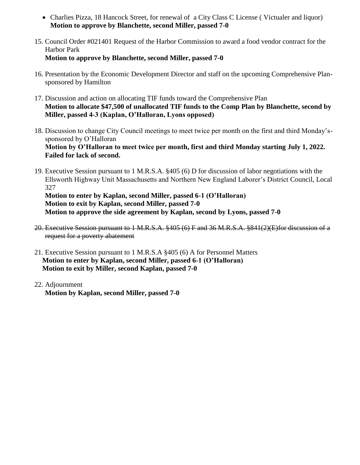- Charlies Pizza, 18 Hancock Street, for renewal of a City Class C License (Victualer and liquor) **Motion to approve by Blanchette, second Miller, passed 7-0**
- 15. Council Order #021401 Request of the Harbor Commission to award a food vendor contract for the Harbor Park **Motion to approve by Blanchette, second Miller, passed 7-0**
- 16. Presentation by the Economic Development Director and staff on the upcoming Comprehensive Plansponsored by Hamilton
- 17. Discussion and action on allocating TIF funds toward the Comprehensive Plan **Motion to allocate \$47,500 of unallocated TIF funds to the Comp Plan by Blanchette, second by Miller, passed 4-3 (Kaplan, O'Halloran, Lyons opposed)**
- 18. Discussion to change City Council meetings to meet twice per month on the first and third Monday'ssponsored by O'Halloran **Motion by O'Halloran to meet twice per month, first and third Monday starting July 1, 2022. Failed for lack of second.**
- 19. Executive Session pursuant to 1 M.R.S.A. §405 (6) D for discussion of labor negotiations with the Ellsworth Highway Unit Massachusetts and Northern New England Laborer's District Council, Local 327

**Motion to enter by Kaplan, second Miller, passed 6-1 (O'Halloran) Motion to exit by Kaplan, second Miller, passed 7-0 Motion to approve the side agreement by Kaplan, second by Lyons, passed 7-0**

- 20. Executive Session pursuant to 1 M.R.S.A. §405 (6) F and 36 M.R.S.A. §841(2)(E)for discussion of a request for a poverty abatement
- 21. Executive Session pursuant to 1 M.R.S.A §405 (6) A for Personnel Matters **Motion to enter by Kaplan, second Miller, passed 6-1 (O'Halloran) Motion to exit by Miller, second Kaplan, passed 7-0**
- 22. Adjournment **Motion by Kaplan, second Miller, passed 7-0**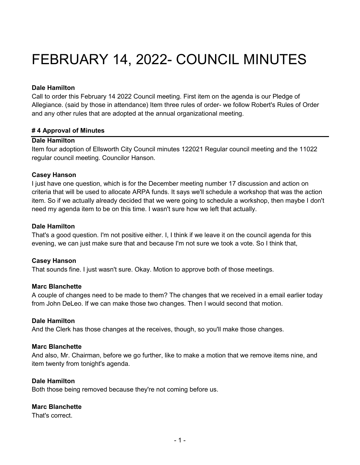# FEBRUARY 14, 2022- COUNCIL MINUTES

#### **Dale Hamilton**

Call to order this February 14 2022 Council meeting. First item on the agenda is our Pledge of Allegiance. (said by those in attendance) Item three rules of order- we follow Robert's Rules of Order and any other rules that are adopted at the annual organizational meeting.

# **# 4 Approval of Minutes**

# **Dale Hamilton**

Item four adoption of Ellsworth City Council minutes 122021 Regular council meeting and the 11022 regular council meeting. Councilor Hanson.

# **Casey Hanson**

I just have one question, which is for the December meeting number 17 discussion and action on criteria that will be used to allocate ARPA funds. It says we'll schedule a workshop that was the action item. So if we actually already decided that we were going to schedule a workshop, then maybe I don't need my agenda item to be on this time. I wasn't sure how we left that actually.

# **Dale Hamilton**

That's a good question. I'm not positive either. I, I think if we leave it on the council agenda for this evening, we can just make sure that and because I'm not sure we took a vote. So I think that,

# **Casey Hanson**

That sounds fine. I just wasn't sure. Okay. Motion to approve both of those meetings.

#### **Marc Blanchette**

A couple of changes need to be made to them? The changes that we received in a email earlier today from John DeLeo. If we can make those two changes. Then I would second that motion.

#### **Dale Hamilton**

And the Clerk has those changes at the receives, though, so you'll make those changes.

#### **Marc Blanchette**

And also, Mr. Chairman, before we go further, like to make a motion that we remove items nine, and item twenty from tonight's agenda.

#### **Dale Hamilton**

Both those being removed because they're not coming before us.

#### **Marc Blanchette**

That's correct.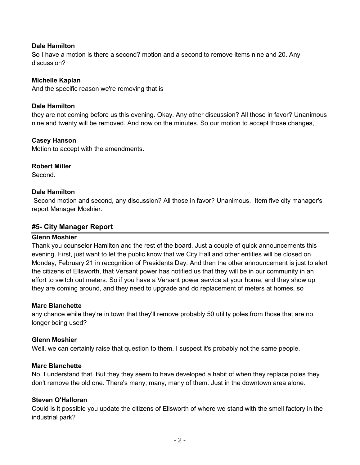# **Dale Hamilton**

So I have a motion is there a second? motion and a second to remove items nine and 20. Any discussion?

# **Michelle Kaplan**

And the specific reason we're removing that is

#### **Dale Hamilton**

they are not coming before us this evening. Okay. Any other discussion? All those in favor? Unanimous nine and twenty will be removed. And now on the minutes. So our motion to accept those changes,

# **Casey Hanson**

Motion to accept with the amendments.

# **Robert Miller**

Second.

#### **Dale Hamilton**

Second motion and second, any discussion? All those in favor? Unanimous. Item five city manager's report Manager Moshier.

# **#5- City Manager Report**

#### **Glenn Moshier**

Thank you counselor Hamilton and the rest of the board. Just a couple of quick announcements this evening. First, just want to let the public know that we City Hall and other entities will be closed on Monday, February 21 in recognition of Presidents Day. And then the other announcement is just to alert the citizens of Ellsworth, that Versant power has notified us that they will be in our community in an effort to switch out meters. So if you have a Versant power service at your home, and they show up they are coming around, and they need to upgrade and do replacement of meters at homes, so

#### **Marc Blanchette**

any chance while they're in town that they'll remove probably 50 utility poles from those that are no longer being used?

#### **Glenn Moshier**

Well, we can certainly raise that question to them. I suspect it's probably not the same people.

#### **Marc Blanchette**

No, I understand that. But they they seem to have developed a habit of when they replace poles they don't remove the old one. There's many, many, many of them. Just in the downtown area alone.

#### **Steven O'Halloran**

Could is it possible you update the citizens of Ellsworth of where we stand with the smell factory in the industrial park?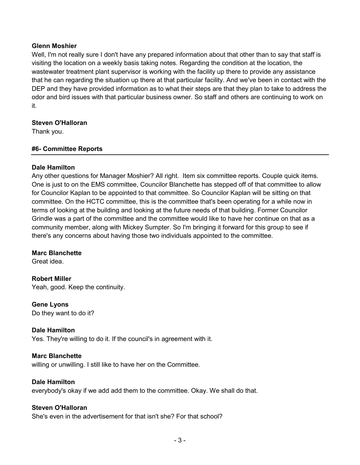#### **Glenn Moshier**

Well, I'm not really sure I don't have any prepared information about that other than to say that staff is visiting the location on a weekly basis taking notes. Regarding the condition at the location, the wastewater treatment plant supervisor is working with the facility up there to provide any assistance that he can regarding the situation up there at that particular facility. And we've been in contact with the DEP and they have provided information as to what their steps are that they plan to take to address the odor and bird issues with that particular business owner. So staff and others are continuing to work on it.

# **Steven O'Halloran**

Thank you.

# **#6- Committee Reports**

# **Dale Hamilton**

Any other questions for Manager Moshier? All right. Item six committee reports. Couple quick items. One is just to on the EMS committee, Councilor Blanchette has stepped off of that committee to allow for Councilor Kaplan to be appointed to that committee. So Councilor Kaplan will be sitting on that committee. On the HCTC committee, this is the committee that's been operating for a while now in terms of looking at the building and looking at the future needs of that building. Former Councilor Grindle was a part of the committee and the committee would like to have her continue on that as a community member, along with Mickey Sumpter. So I'm bringing it forward for this group to see if there's any concerns about having those two individuals appointed to the committee.

#### **Marc Blanchette**

Great idea.

**Robert Miller**  Yeah, good. Keep the continuity.

**Gene Lyons**  Do they want to do it?

#### **Dale Hamilton**

Yes. They're willing to do it. If the council's in agreement with it.

#### **Marc Blanchette**

willing or unwilling. I still like to have her on the Committee.

#### **Dale Hamilton**

everybody's okay if we add add them to the committee. Okay. We shall do that.

#### **Steven O'Halloran**

She's even in the advertisement for that isn't she? For that school?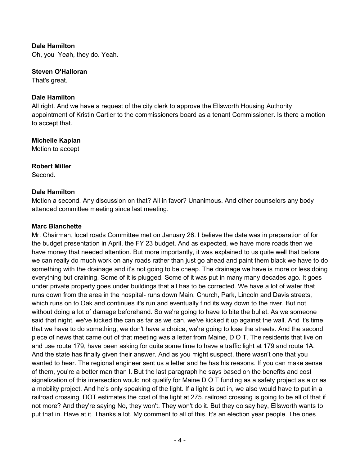# **Dale Hamilton**

Oh, you Yeah, they do. Yeah.

#### **Steven O'Halloran**

That's great.

#### **Dale Hamilton**

All right. And we have a request of the city clerk to approve the Ellsworth Housing Authority appointment of Kristin Cartier to the commissioners board as a tenant Commissioner. Is there a motion to accept that.

# **Michelle Kaplan**

Motion to accept

# **Robert Miller**

Second.

# **Dale Hamilton**

Motion a second. Any discussion on that? All in favor? Unanimous. And other counselors any body attended committee meeting since last meeting.

# **Marc Blanchette**

Mr. Chairman, local roads Committee met on January 26. I believe the date was in preparation of for the budget presentation in April, the FY 23 budget. And as expected, we have more roads then we have money that needed attention. But more importantly, it was explained to us quite well that before we can really do much work on any roads rather than just go ahead and paint them black we have to do something with the drainage and it's not going to be cheap. The drainage we have is more or less doing everything but draining. Some of it is plugged. Some of it was put in many many decades ago. It goes under private property goes under buildings that all has to be corrected. We have a lot of water that runs down from the area in the hospital- runs down Main, Church, Park, Lincoln and Davis streets, which runs on to Oak and continues it's run and eventually find its way down to the river. But not without doing a lot of damage beforehand. So we're going to have to bite the bullet. As we someone said that night, we've kicked the can as far as we can, we've kicked it up against the wall. And it's time that we have to do something, we don't have a choice, we're going to lose the streets. And the second piece of news that came out of that meeting was a letter from Maine, D O T. The residents that live on and use route 179, have been asking for quite some time to have a traffic light at 179 and route 1A. And the state has finally given their answer. And as you might suspect, there wasn't one that you wanted to hear. The regional engineer sent us a letter and he has his reasons. If you can make sense of them, you're a better man than I. But the last paragraph he says based on the benefits and cost signalization of this intersection would not qualify for Maine D O T funding as a safety project as a or as a mobility project. And he's only speaking of the light. If a light is put in, we also would have to put in a railroad crossing. DOT estimates the cost of the light at 275. railroad crossing is going to be all of that if not more? And they're saying No, they won't. They won't do it. But they do say hey, Ellsworth wants to put that in. Have at it. Thanks a lot. My comment to all of this. It's an election year people. The ones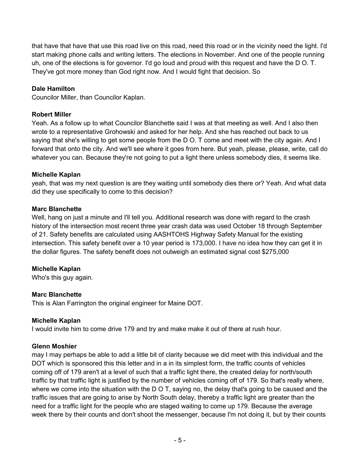that have that have that use this road live on this road, need this road or in the vicinity need the light. I'd start making phone calls and writing letters. The elections in November. And one of the people running uh, one of the elections is for governor. I'd go loud and proud with this request and have the D O. T. They've got more money than God right now. And I would fight that decision. So

# **Dale Hamilton**

Councilor Miller, than Councilor Kaplan.

# **Robert Miller**

Yeah. As a follow up to what Councilor Blanchette said I was at that meeting as well. And I also then wrote to a representative Grohowski and asked for her help. And she has reached out back to us saying that she's willing to get some people from the D O. T come and meet with the city again. And I forward that onto the city. And we'll see where it goes from here. But yeah, please, please, write, call do whatever you can. Because they're not going to put a light there unless somebody dies, it seems like.

# **Michelle Kaplan**

yeah, that was my next question is are they waiting until somebody dies there or? Yeah. And what data did they use specifically to come to this decision?

# **Marc Blanchette**

Well, hang on just a minute and I'll tell you. Additional research was done with regard to the crash history of the intersection most recent three year crash data was used October 18 through September of 21. Safety benefits are calculated using AASHTOHS Highway Safety Manual for the existing intersection. This safety benefit over a 10 year period is 173,000. I have no idea how they can get it in the dollar figures. The safety benefit does not outweigh an estimated signal cost \$275,000

# **Michelle Kaplan**

Who's this guy again.

# **Marc Blanchette**

This is Alan Farrington the original engineer for Maine DOT.

# **Michelle Kaplan**

I would invite him to come drive 179 and try and make make it out of there at rush hour.

# **Glenn Moshier**

may I may perhaps be able to add a little bit of clarity because we did meet with this individual and the DOT which is sponsored this this letter and in a in its simplest form, the traffic counts of vehicles coming off of 179 aren't at a level of such that a traffic light there, the created delay for north/south traffic by that traffic light is justified by the number of vehicles coming off of 179. So that's really where, where we come into the situation with the D O T, saying no, the delay that's going to be caused and the traffic issues that are going to arise by North South delay, thereby a traffic light are greater than the need for a traffic light for the people who are staged waiting to come up 179. Because the average week there by their counts and don't shoot the messenger, because I'm not doing it, but by their counts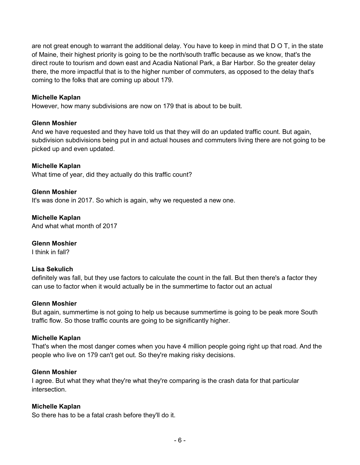are not great enough to warrant the additional delay. You have to keep in mind that D O T, in the state of Maine, their highest priority is going to be the north/south traffic because as we know, that's the direct route to tourism and down east and Acadia National Park, a Bar Harbor. So the greater delay there, the more impactful that is to the higher number of commuters, as opposed to the delay that's coming to the folks that are coming up about 179.

#### **Michelle Kaplan**

However, how many subdivisions are now on 179 that is about to be built.

# **Glenn Moshier**

And we have requested and they have told us that they will do an updated traffic count. But again, subdivision subdivisions being put in and actual houses and commuters living there are not going to be picked up and even updated.

# **Michelle Kaplan**

What time of year, did they actually do this traffic count?

# **Glenn Moshier**

It's was done in 2017. So which is again, why we requested a new one.

**Michelle Kaplan**  And what what month of 2017

#### **Glenn Moshier**

I think in fall?

#### **Lisa Sekulich**

definitely was fall, but they use factors to calculate the count in the fall. But then there's a factor they can use to factor when it would actually be in the summertime to factor out an actual

#### **Glenn Moshier**

But again, summertime is not going to help us because summertime is going to be peak more South traffic flow. So those traffic counts are going to be significantly higher.

#### **Michelle Kaplan**

That's when the most danger comes when you have 4 million people going right up that road. And the people who live on 179 can't get out. So they're making risky decisions.

#### **Glenn Moshier**

I agree. But what they what they're what they're comparing is the crash data for that particular intersection.

#### **Michelle Kaplan**

So there has to be a fatal crash before they'll do it.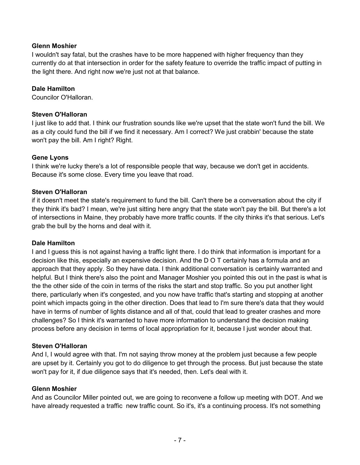# **Glenn Moshier**

I wouldn't say fatal, but the crashes have to be more happened with higher frequency than they currently do at that intersection in order for the safety feature to override the traffic impact of putting in the light there. And right now we're just not at that balance.

# **Dale Hamilton**

Councilor O'Halloran.

# **Steven O'Halloran**

I just like to add that. I think our frustration sounds like we're upset that the state won't fund the bill. We as a city could fund the bill if we find it necessary. Am I correct? We just crabbin' because the state won't pay the bill. Am I right? Right.

# **Gene Lyons**

I think we're lucky there's a lot of responsible people that way, because we don't get in accidents. Because it's some close. Every time you leave that road.

# **Steven O'Halloran**

if it doesn't meet the state's requirement to fund the bill. Can't there be a conversation about the city if they think it's bad? I mean, we're just sitting here angry that the state won't pay the bill. But there's a lot of intersections in Maine, they probably have more traffic counts. If the city thinks it's that serious. Let's grab the bull by the horns and deal with it.

#### **Dale Hamilton**

I and I guess this is not against having a traffic light there. I do think that information is important for a decision like this, especially an expensive decision. And the D O T certainly has a formula and an approach that they apply. So they have data. I think additional conversation is certainly warranted and helpful. But I think there's also the point and Manager Moshier you pointed this out in the past is what is the the other side of the coin in terms of the risks the start and stop traffic. So you put another light there, particularly when it's congested, and you now have traffic that's starting and stopping at another point which impacts going in the other direction. Does that lead to I'm sure there's data that they would have in terms of number of lights distance and all of that, could that lead to greater crashes and more challenges? So I think it's warranted to have more information to understand the decision making process before any decision in terms of local appropriation for it, because I just wonder about that.

#### **Steven O'Halloran**

And I, I would agree with that. I'm not saying throw money at the problem just because a few people are upset by it. Certainly you got to do diligence to get through the process. But just because the state won't pay for it, if due diligence says that it's needed, then. Let's deal with it.

#### **Glenn Moshier**

And as Councilor Miller pointed out, we are going to reconvene a follow up meeting with DOT. And we have already requested a traffic new traffic count. So it's, it's a continuing process. It's not something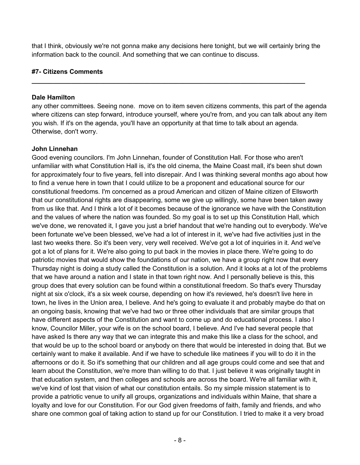that I think, obviously we're not gonna make any decisions here tonight, but we will certainly bring the information back to the council. And something that we can continue to discuss.

**\_\_\_\_\_\_\_\_\_\_\_\_\_\_\_\_\_\_\_\_\_\_\_\_\_\_\_\_\_\_\_\_\_\_\_\_\_\_\_\_\_\_\_\_\_\_\_\_\_\_\_\_\_\_\_\_\_\_\_\_\_\_\_\_\_\_\_\_\_\_\_\_\_\_\_\_**

# **#7- Citizens Comments**

#### **Dale Hamilton**

any other committees. Seeing none. move on to item seven citizens comments, this part of the agenda where citizens can step forward, introduce yourself, where you're from, and you can talk about any item you wish. If it's on the agenda, you'll have an opportunity at that time to talk about an agenda. Otherwise, don't worry.

#### **John Linnehan**

Good evening councilors. I'm John Linnehan, founder of Constitution Hall. For those who aren't unfamiliar with what Constitution Hall is, it's the old cinema, the Maine Coast mall, it's been shut down for approximately four to five years, fell into disrepair. And I was thinking several months ago about how to find a venue here in town that I could utilize to be a proponent and educational source for our constitutional freedoms. I'm concerned as a proud American and citizen of Maine citizen of Ellsworth that our constitutional rights are disappearing, some we give up willingly, some have been taken away from us like that. And I think a lot of it becomes because of the ignorance we have with the Constitution and the values of where the nation was founded. So my goal is to set up this Constitution Hall, which we've done, we renovated it, I gave you just a brief handout that we're handing out to everybody. We've been fortunate we've been blessed, we've had a lot of interest in it, we've had five activities just in the last two weeks there. So it's been very, very well received. We've got a lot of inquiries in it. And we've got a lot of plans for it. We're also going to put back in the movies in place there. We're going to do patriotic movies that would show the foundations of our nation, we have a group right now that every Thursday night is doing a study called the Constitution is a solution. And it looks at a lot of the problems that we have around a nation and I state in that town right now. And I personally believe is this, this group does that every solution can be found within a constitutional freedom. So that's every Thursday night at six o'clock, it's a six week course, depending on how it's reviewed, he's doesn't live here in town, he lives in the Union area, I believe. And he's going to evaluate it and probably maybe do that on an ongoing basis, knowing that we've had two or three other individuals that are similar groups that have different aspects of the Constitution and want to come up and do educational process. I also I know, Councilor Miller, your wife is on the school board, I believe. And I've had several people that have asked Is there any way that we can integrate this and make this like a class for the school, and that would be up to the school board or anybody on there that would be interested in doing that. But we certainly want to make it available. And if we have to schedule like matinees if you will to do it in the afternoons or do it. So it's something that our children and all age groups could come and see that and learn about the Constitution, we're more than willing to do that. I just believe it was originally taught in that education system, and then colleges and schools are across the board. We're all familiar with it, we've kind of lost that vision of what our constitution entails. So my simple mission statement is to provide a patriotic venue to unify all groups, organizations and individuals within Maine, that share a loyalty and love for our Constitution. For our God given freedoms of faith, family and friends, and who share one common goal of taking action to stand up for our Constitution. I tried to make it a very broad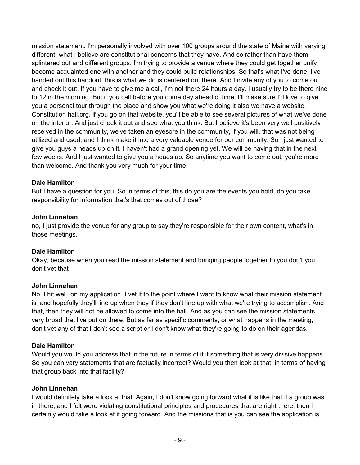mission statement. I'm personally involved with over 100 groups around the state of Maine with varying different, what I believe are constitutional concerns that they have. And so rather than have them splintered out and different groups, I'm trying to provide a venue where they could get together unify become acquainted one with another and they could build relationships. So that's what I've done. I've handed out this handout, this is what we do is centered out there. And I invite any of you to come out and check it out. If you have to give me a call, I'm not there 24 hours a day, I usually try to be there nine to 12 in the morning. But if you call before you come day ahead of time, I'll make sure I'd love to give you a personal tour through the place and show you what we're doing it also we have a website, Constitution hall.org, if you go on that website, you'll be able to see several pictures of what we've done on the interior. And just check it out and see what you think. But I believe it's been very well positively received in the community, we've taken an eyesore in the community, if you will, that was not being utilized and used, and I think make it into a very valuable venue for our community. So I just wanted to give you guys a heads up on it. I haven't had a grand opening yet. We will be having that in the next few weeks. And I just wanted to give you a heads up. So anytime you want to come out, you're more than welcome. And thank you very much for your time.

# **Dale Hamilton**

But I have a question for you. So in terms of this, this do you are the events you hold, do you take responsibility for information that's that comes out of those?

# **John Linnehan**

no, I just provide the venue for any group to say they're responsible for their own content, what's in those meetings.

# **Dale Hamilton**

Okay, because when you read the mission statement and bringing people together to you don't you don't vet that

# **John Linnehan**

No, I hit well, on my application, I vet it to the point where I want to know what their mission statement is and hopefully they'll line up when they if they don't line up with what we're trying to accomplish. And that, then they will not be allowed to come into the hall. And as you can see the mission statements very broad that I've put on there. But as far as specific comments, or what happens in the meeting, I don't vet any of that I don't see a script or I don't know what they're going to do on their agendas.

# **Dale Hamilton**

Would you would you address that in the future in terms of if if something that is very divisive happens. So you can vary statements that are factually incorrect? Would you then look at that, in terms of having that group back into that facility?

# **John Linnehan**

I would definitely take a look at that. Again, I don't know going forward what it is like that if a group was in there, and I felt were violating constitutional principles and procedures that are right there, then I certainly would take a look at it going forward. And the missions that is you can see the application is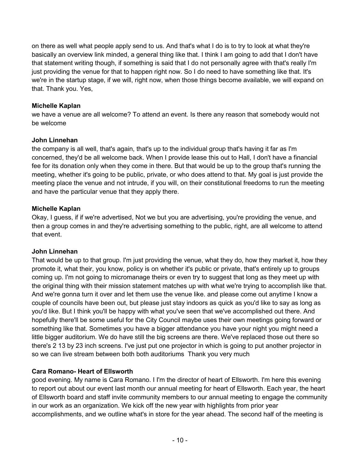on there as well what people apply send to us. And that's what I do is to try to look at what they're basically an overview link minded, a general thing like that. I think I am going to add that I don't have that statement writing though, if something is said that I do not personally agree with that's really I'm just providing the venue for that to happen right now. So I do need to have something like that. It's we're in the startup stage, if we will, right now, when those things become available, we will expand on that. Thank you. Yes,

# **Michelle Kaplan**

we have a venue are all welcome? To attend an event. Is there any reason that somebody would not be welcome

# **John Linnehan**

the company is all well, that's again, that's up to the individual group that's having it far as I'm concerned, they'd be all welcome back. When I provide lease this out to Hall, I don't have a financial fee for its donation only when they come in there. But that would be up to the group that's running the meeting, whether it's going to be public, private, or who does attend to that. My goal is just provide the meeting place the venue and not intrude, if you will, on their constitutional freedoms to run the meeting and have the particular venue that they apply there.

# **Michelle Kaplan**

Okay, I guess, if if we're advertised, Not we but you are advertising, you're providing the venue, and then a group comes in and they're advertising something to the public, right, are all welcome to attend that event.

# **John Linnehan**

That would be up to that group. I'm just providing the venue, what they do, how they market it, how they promote it, what their, you know, policy is on whether it's public or private, that's entirely up to groups coming up. I'm not going to micromanage theirs or even try to suggest that long as they meet up with the original thing with their mission statement matches up with what we're trying to accomplish like that. And we're gonna turn it over and let them use the venue like. and please come out anytime I know a couple of councils have been out, but please just stay indoors as quick as you'd like to say as long as you'd like. But I think you'll be happy with what you've seen that we've accomplished out there. And hopefully there'll be some useful for the City Council maybe uses their own meetings going forward or something like that. Sometimes you have a bigger attendance you have your night you might need a little bigger auditorium. We do have still the big screens are there. We've replaced those out there so there's 2 13 by 23 inch screens. I've just put one projector in which is going to put another projector in so we can live stream between both both auditoriums Thank you very much

# **Cara Romano- Heart of Ellsworth**

good evening. My name is Cara Romano. I I'm the director of heart of Ellsworth. I'm here this evening to report out about our event last month our annual meeting for heart of Ellsworth. Each year, the heart of Ellsworth board and staff invite community members to our annual meeting to engage the community in our work as an organization. We kick off the new year with highlights from prior year accomplishments, and we outline what's in store for the year ahead. The second half of the meeting is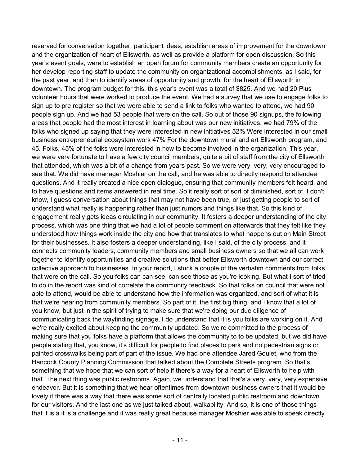reserved for conversation together, participant ideas, establish areas of improvement for the downtown and the organization of heart of Ellsworth, as well as provide a platform for open discussion. So this year's event goals, were to establish an open forum for community members create an opportunity for her develop reporting staff to update the community on organizational accomplishments, as I said, for the past year, and then to identify areas of opportunity and growth, for the heart of Ellsworth in downtown. The program budget for this, this year's event was a total of \$825. And we had 20 Plus volunteer hours that were worked to produce the event. We had a survey that we use to engage folks to sign up to pre register so that we were able to send a link to folks who wanted to attend, we had 90 people sign up. And we had 53 people that were on the call. So out of those 90 signups, the following areas that people had the most interest in learning about was our new initiatives, we had 79% of the folks who signed up saying that they were interested in new initiatives 52% Were interested in our small business entrepreneurial ecosystem work 47% For the downtown mural and art Ellsworth program, and 45. Folks, 45% of the folks were interested in how to become involved in the organization. This year, we were very fortunate to have a few city council members, quite a bit of staff from the city of Ellsworth that attended, which was a bit of a change from years past. So we were very, very, very encouraged to see that. We did have manager Moshier on the call, and he was able to directly respond to attendee questions. And it really created a nice open dialogue, ensuring that community members felt heard, and to have questions and items answered in real time. So it really sort of sort of diminished, sort of, I don't know, I guess conversation about things that may not have been true, or just getting people to sort of understand what really is happening rather than just rumors and things like that. So this kind of engagement really gets ideas circulating in our community. It fosters a deeper understanding of the city process, which was one thing that we had a lot of people comment on afterwards that they felt like they understood how things work inside the city and how that translates to what happens out on Main Street for their businesses. It also fosters a deeper understanding, like I said, of the city process, and it connects community leaders, community members and small business owners so that we all can work together to identify opportunities and creative solutions that better Ellsworth downtown and our correct collective approach to businesses. In your report, I stuck a couple of the verbatim comments from folks that were on the call. So you folks can can see, can see those as you're looking. But what I sort of tried to do in the report was kind of correlate the community feedback. So that folks on council that were not able to attend, would be able to understand how the information was organized, and sort of what it is that we're hearing from community members. So part of it, the first big thing, and I know that a lot of you know, but just in the spirit of trying to make sure that we're doing our due diligence of communicating back the wayfinding signage, I do understand that it is you folks are working on it. And we're really excited about keeping the community updated. So we're committed to the process of making sure that you folks have a platform that allows the community to to be updated, but we did have people stating that, you know, it's difficult for people to find places to park and no pedestrian signs or painted crosswalks being part of part of the issue. We had one attendee Jared Goulet, who from the Hancock County Planning Commission that talked about the Complete Streets program. So that's something that we hope that we can sort of help if there's a way for a heart of Ellsworth to help with that. The next thing was public restrooms. Again, we understand that that's a very, very, very expensive endeavor. But it is something that we hear oftentimes from downtown business owners that it would be lovely if there was a way that there was some sort of centrally located public restroom and downtown for our visitors. And the last one as we just talked about, walkability. And so, it is one of those things that it is a it is a challenge and it was really great because manager Moshier was able to speak directly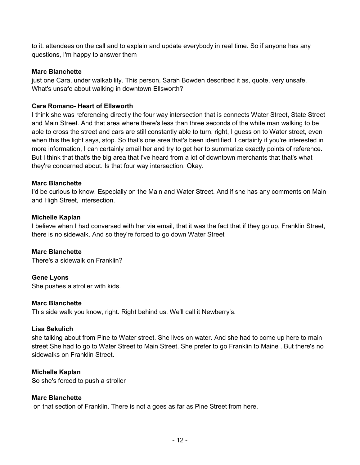to it. attendees on the call and to explain and update everybody in real time. So if anyone has any questions, I'm happy to answer them

#### **Marc Blanchette**

just one Cara, under walkability. This person, Sarah Bowden described it as, quote, very unsafe. What's unsafe about walking in downtown Ellsworth?

#### **Cara Romano- Heart of Ellsworth**

I think she was referencing directly the four way intersection that is connects Water Street, State Street and Main Street. And that area where there's less than three seconds of the white man walking to be able to cross the street and cars are still constantly able to turn, right, I guess on to Water street, even when this the light says, stop. So that's one area that's been identified. I certainly if you're interested in more information, I can certainly email her and try to get her to summarize exactly points of reference. But I think that that's the big area that I've heard from a lot of downtown merchants that that's what they're concerned about. Is that four way intersection. Okay.

#### **Marc Blanchette**

I'd be curious to know. Especially on the Main and Water Street. And if she has any comments on Main and High Street, intersection.

#### **Michelle Kaplan**

I believe when I had conversed with her via email, that it was the fact that if they go up, Franklin Street, there is no sidewalk. And so they're forced to go down Water Street

**Marc Blanchette**  There's a sidewalk on Franklin?

**Gene Lyons** 

She pushes a stroller with kids.

#### **Marc Blanchette**

This side walk you know, right. Right behind us. We'll call it Newberry's.

#### **Lisa Sekulich**

she talking about from Pine to Water street. She lives on water. And she had to come up here to main street She had to go to Water Street to Main Street. She prefer to go Franklin to Maine . But there's no sidewalks on Franklin Street.

#### **Michelle Kaplan**

So she's forced to push a stroller

#### **Marc Blanchette**

on that section of Franklin. There is not a goes as far as Pine Street from here.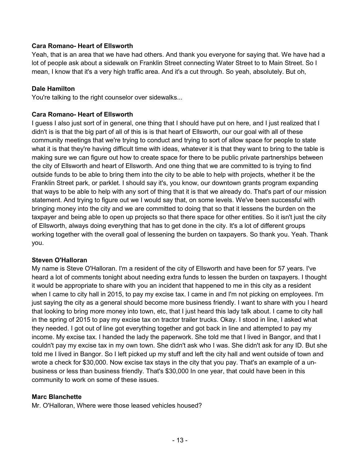# **Cara Romano- Heart of Ellsworth**

Yeah, that is an area that we have had others. And thank you everyone for saying that. We have had a lot of people ask about a sidewalk on Franklin Street connecting Water Street to to Main Street. So I mean, I know that it's a very high traffic area. And it's a cut through. So yeah, absolutely. But oh,

#### **Dale Hamilton**

You're talking to the right counselor over sidewalks...

#### **Cara Romano- Heart of Ellsworth**

I guess I also just sort of in general, one thing that I should have put on here, and I just realized that I didn't is is that the big part of all of this is is that heart of Ellsworth, our our goal with all of these community meetings that we're trying to conduct and trying to sort of allow space for people to state what it is that they're having difficult time with ideas, whatever it is that they want to bring to the table is making sure we can figure out how to create space for there to be public private partnerships between the city of Ellsworth and heart of Ellsworth. And one thing that we are committed to is trying to find outside funds to be able to bring them into the city to be able to help with projects, whether it be the Franklin Street park, or parklet. I should say it's, you know, our downtown grants program expanding that ways to be able to help with any sort of thing that it is that we already do. That's part of our mission statement. And trying to figure out we I would say that, on some levels. We've been successful with bringing money into the city and we are committed to doing that so that it lessens the burden on the taxpayer and being able to open up projects so that there space for other entities. So it isn't just the city of Ellsworth, always doing everything that has to get done in the city. It's a lot of different groups working together with the overall goal of lessening the burden on taxpayers. So thank you. Yeah. Thank you.

#### **Steven O'Halloran**

My name is Steve O'Halloran. I'm a resident of the city of Ellsworth and have been for 57 years. I've heard a lot of comments tonight about needing extra funds to lessen the burden on taxpayers. I thought it would be appropriate to share with you an incident that happened to me in this city as a resident when I came to city hall in 2015, to pay my excise tax. I came in and I'm not picking on employees. I'm just saying the city as a general should become more business friendly. I want to share with you I heard that looking to bring more money into town, etc, that I just heard this lady talk about. I came to city hall in the spring of 2015 to pay my excise tax on tractor trailer trucks. Okay. I stood in line, I asked what they needed. I got out of line got everything together and got back in line and attempted to pay my income. My excise tax. I handed the lady the paperwork. She told me that I lived in Bangor, and that I couldn't pay my excise tax in my own town. She didn't ask who I was. She didn't ask for any ID. But she told me I lived in Bangor. So I left picked up my stuff and left the city hall and went outside of town and wrote a check for \$30,000. Now excise tax stays in the city that you pay. That's an example of a unbusiness or less than business friendly. That's \$30,000 In one year, that could have been in this community to work on some of these issues.

#### **Marc Blanchette**

Mr. O'Halloran, Where were those leased vehicles housed?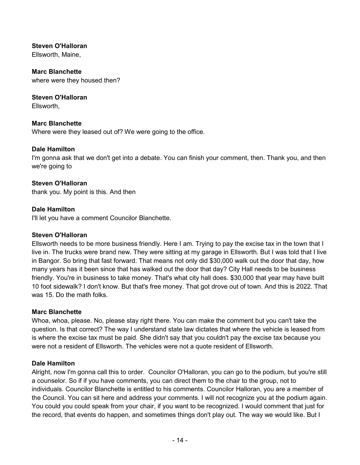**Steven O'Halloran** 

Ellsworth, Maine,

**Marc Blanchette**  where were they housed then?

**Steven O'Halloran**  Ellsworth,

**Marc Blanchette**  Where were they leased out of? We were going to the office.

# **Dale Hamilton**

I'm gonna ask that we don't get into a debate. You can finish your comment, then. Thank you, and then we're going to

# **Steven O'Halloran**

thank you. My point is this. And then

# **Dale Hamilton**

I'll let you have a comment Councilor Blanchette.

#### **Steven O'Halloran**

Ellsworth needs to be more business friendly. Here I am. Trying to pay the excise tax in the town that I live in. The trucks were brand new. They were sitting at my garage in Ellsworth. But I was told that I live in Bangor. So bring that fast forward. That means not only did \$30,000 walk out the door that day, how many years has it been since that has walked out the door that day? City Hall needs to be business friendly. You're in business to take money. That's what city hall does. \$30,000 that year may have built 10 foot sidewalk? I don't know. But that's free money. That got drove out of town. And this is 2022. That was 15. Do the math folks.

#### **Marc Blanchette**

Whoa, whoa, please. No, please stay right there. You can make the comment but you can't take the question. Is that correct? The way I understand state law dictates that where the vehicle is leased from is where the excise tax must be paid. She didn't say that you couldn't pay the excise tax because you were not a resident of Ellsworth. The vehicles were not a quote resident of Ellsworth.

#### **Dale Hamilton**

Alright, now I'm gonna call this to order. Councilor O'Halloran, you can go to the podium, but you're still a counselor. So if if you have comments, you can direct them to the chair to the group, not to individuals. Councilor Blanchette is entitled to his comments. Councilor Halloran, you are a member of the Council. You can sit here and address your comments. I will not recognize you at the podium again. You could you could speak from your chair, if you want to be recognized. I would comment that just for the record, that events do happen, and sometimes things don't play out. The way we would like. But I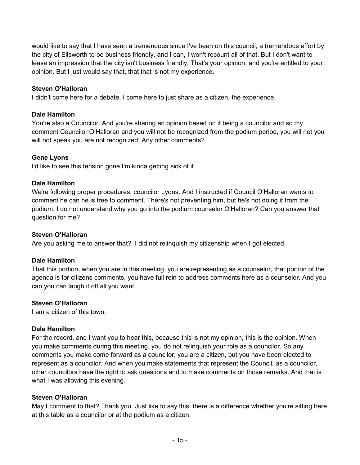would like to say that I have seen a tremendous since I've been on this council, a tremendous effort by the city of Ellsworth to be business friendly, and I can, I won't recount all of that. But I don't want to leave an impression that the city isn't business friendly. That's your opinion, and you're entitled to your opinion. But I just would say that, that that is not my experience.

# **Steven O'Halloran**

I didn't come here for a debate, I come here to just share as a citizen, the experience,

# **Dale Hamilton**

You're also a Councilor. And you're sharing an opinion based on it being a councilor and so my comment Councilor O'Halloran and you will not be recognized from the podium period, you will not you will not speak you are not recognized. Any other comments?

# **Gene Lyons**

I'd like to see this tension gone I'm kinda getting sick of it

# **Dale Hamilton**

We're following proper procedures, councilor Lyons. And I instructed if Council O'Halloran wants to comment he can he is free to comment. There's not preventing him, but he's not doing it from the podium. I do not understand why you go into the podium counselor O'Halloran? Can you answer that question for me?

#### **Steven O'Halloran**

Are you asking me to answer that? I did not relinquish my citizenship when I got elected.

# **Dale Hamilton**

That this portion, when you are in this meeting, you are representing as a counselor, that portion of the agenda is for citizens comments, you have full rein to address comments here as a counselor. And you can you can laugh it off all you want.

#### **Steven O'Halloran**

I am a citizen of this town.

#### **Dale Hamilton**

For the record, and I want you to hear this, because this is not my opinion, this is the opinion. When you make comments during this meeting, you do not relinquish your role as a councilor. So any comments you make come forward as a councilor, you are a citizen, but you have been elected to represent as a councilor. And when you make statements that represent the Council, as a councilor, other councilors have the right to ask questions and to make comments on those remarks. And that is what I was allowing this evening.

#### **Steven O'Halloran**

May I comment to that? Thank you. Just like to say this, there is a difference whether you're sitting here at this table as a councilor or at the podium as a citizen.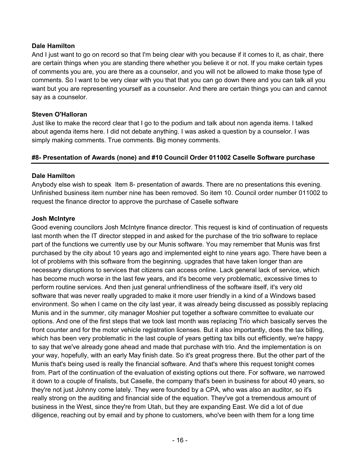# **Dale Hamilton**

And I just want to go on record so that I'm being clear with you because if it comes to it, as chair, there are certain things when you are standing there whether you believe it or not. If you make certain types of comments you are, you are there as a counselor, and you will not be allowed to make those type of comments. So I want to be very clear with you that that you can go down there and you can talk all you want but you are representing yourself as a counselor. And there are certain things you can and cannot say as a counselor.

# **Steven O'Halloran**

Just like to make the record clear that I go to the podium and talk about non agenda items. I talked about agenda items here. I did not debate anything. I was asked a question by a counselor. I was simply making comments. True comments. Big money comments.

# **#8- Presentation of Awards (none) and #10 Council Order 011002 Caselle Software purchase**

# **Dale Hamilton**

Anybody else wish to speak Item 8- presentation of awards. There are no presentations this evening. Unfinished business item number nine has been removed. So item 10. Council order number 011002 to request the finance director to approve the purchase of Caselle software

#### **Josh McIntyre**

Good evening councilors Josh McIntyre finance director. This request is kind of continuation of requests last month when the IT director stepped in and asked for the purchase of the trio software to replace part of the functions we currently use by our Munis software. You may remember that Munis was first purchased by the city about 10 years ago and implemented eight to nine years ago. There have been a lot of problems with this software from the beginning. upgrades that have taken longer than are necessary disruptions to services that citizens can access online. Lack general lack of service, which has become much worse in the last few years, and it's become very problematic, excessive times to perform routine services. And then just general unfriendliness of the software itself, it's very old software that was never really upgraded to make it more user friendly in a kind of a Windows based environment. So when I came on the city last year, it was already being discussed as possibly replacing Munis and in the summer, city manager Moshier put together a software committee to evaluate our options. And one of the first steps that we took last month was replacing Trio which basically serves the front counter and for the motor vehicle registration licenses. But it also importantly, does the tax billing, which has been very problematic in the last couple of years getting tax bills out efficiently, we're happy to say that we've already gone ahead and made that purchase with trio. And the implementation is on your way, hopefully, with an early May finish date. So it's great progress there. But the other part of the Munis that's being used is really the financial software. And that's where this request tonight comes from. Part of the continuation of the evaluation of existing options out there. For software, we narrowed it down to a couple of finalists, but Caselle, the company that's been in business for about 40 years, so they're not just Johnny come lately. They were founded by a CPA, who was also an auditor, so it's really strong on the auditing and financial side of the equation. They've got a tremendous amount of business in the West, since they're from Utah, but they are expanding East. We did a lot of due diligence, reaching out by email and by phone to customers, who've been with them for a long time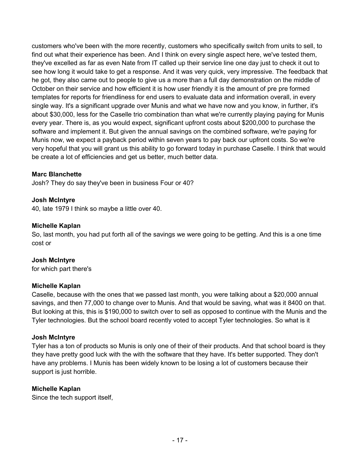customers who've been with the more recently, customers who specifically switch from units to sell, to find out what their experience has been. And I think on every single aspect here, we've tested them, they've excelled as far as even Nate from IT called up their service line one day just to check it out to see how long it would take to get a response. And it was very quick, very impressive. The feedback that he got, they also came out to people to give us a more than a full day demonstration on the middle of October on their service and how efficient it is how user friendly it is the amount of pre pre formed templates for reports for friendliness for end users to evaluate data and information overall, in every single way. It's a significant upgrade over Munis and what we have now and you know, in further, it's about \$30,000, less for the Caselle trio combination than what we're currently playing paying for Munis every year. There is, as you would expect, significant upfront costs about \$200,000 to purchase the software and implement it. But given the annual savings on the combined software, we're paying for Munis now, we expect a payback period within seven years to pay back our upfront costs. So we're very hopeful that you will grant us this ability to go forward today in purchase Caselle. I think that would be create a lot of efficiencies and get us better, much better data.

# **Marc Blanchette**

Josh? They do say they've been in business Four or 40?

# **Josh McIntyre**

40, late 1979 I think so maybe a little over 40.

#### **Michelle Kaplan**

So, last month, you had put forth all of the savings we were going to be getting. And this is a one time cost or

#### **Josh McIntyre**

for which part there's

#### **Michelle Kaplan**

Caselle, because with the ones that we passed last month, you were talking about a \$20,000 annual savings, and then 77,000 to change over to Munis. And that would be saving, what was it 8400 on that. But looking at this, this is \$190,000 to switch over to sell as opposed to continue with the Munis and the Tyler technologies. But the school board recently voted to accept Tyler technologies. So what is it

#### **Josh McIntyre**

Tyler has a ton of products so Munis is only one of their of their products. And that school board is they they have pretty good luck with the with the software that they have. It's better supported. They don't have any problems. I Munis has been widely known to be losing a lot of customers because their support is just horrible.

# **Michelle Kaplan**

Since the tech support itself,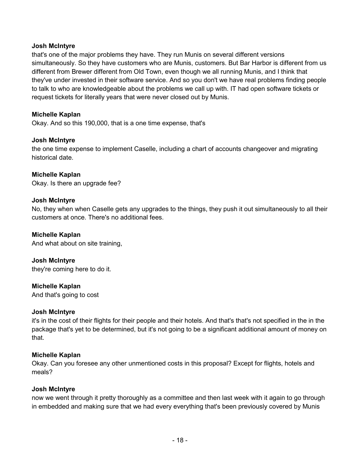#### **Josh McIntyre**

that's one of the major problems they have. They run Munis on several different versions simultaneously. So they have customers who are Munis, customers. But Bar Harbor is different from us different from Brewer different from Old Town, even though we all running Munis, and I think that they've under invested in their software service. And so you don't we have real problems finding people to talk to who are knowledgeable about the problems we call up with. IT had open software tickets or request tickets for literally years that were never closed out by Munis.

# **Michelle Kaplan**

Okay. And so this 190,000, that is a one time expense, that's

#### **Josh McIntyre**

the one time expense to implement Caselle, including a chart of accounts changeover and migrating historical date.

#### **Michelle Kaplan**

Okay. Is there an upgrade fee?

# **Josh McIntyre**

No, they when when Caselle gets any upgrades to the things, they push it out simultaneously to all their customers at once. There's no additional fees.

#### **Michelle Kaplan**

And what about on site training,

# **Josh McIntyre**

they're coming here to do it.

#### **Michelle Kaplan**

And that's going to cost

#### **Josh McIntyre**

it's in the cost of their flights for their people and their hotels. And that's that's not specified in the in the package that's yet to be determined, but it's not going to be a significant additional amount of money on that.

#### **Michelle Kaplan**

Okay. Can you foresee any other unmentioned costs in this proposal? Except for flights, hotels and meals?

#### **Josh McIntyre**

now we went through it pretty thoroughly as a committee and then last week with it again to go through in embedded and making sure that we had every everything that's been previously covered by Munis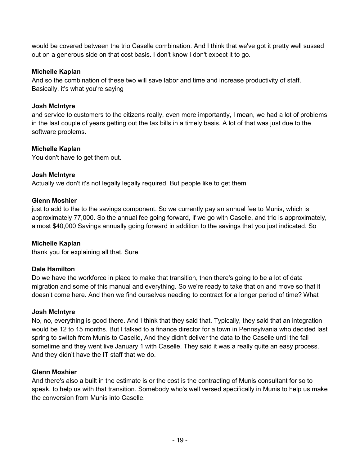would be covered between the trio Caselle combination. And I think that we've got it pretty well sussed out on a generous side on that cost basis. I don't know I don't expect it to go.

# **Michelle Kaplan**

And so the combination of these two will save labor and time and increase productivity of staff. Basically, it's what you're saying

# **Josh McIntyre**

and service to customers to the citizens really, even more importantly, I mean, we had a lot of problems in the last couple of years getting out the tax bills in a timely basis. A lot of that was just due to the software problems.

# **Michelle Kaplan**

You don't have to get them out.

# **Josh McIntyre**

Actually we don't it's not legally legally required. But people like to get them

# **Glenn Moshier**

just to add to the to the savings component. So we currently pay an annual fee to Munis, which is approximately 77,000. So the annual fee going forward, if we go with Caselle, and trio is approximately, almost \$40,000 Savings annually going forward in addition to the savings that you just indicated. So

#### **Michelle Kaplan**

thank you for explaining all that. Sure.

# **Dale Hamilton**

Do we have the workforce in place to make that transition, then there's going to be a lot of data migration and some of this manual and everything. So we're ready to take that on and move so that it doesn't come here. And then we find ourselves needing to contract for a longer period of time? What

#### **Josh McIntyre**

No, no, everything is good there. And I think that they said that. Typically, they said that an integration would be 12 to 15 months. But I talked to a finance director for a town in Pennsylvania who decided last spring to switch from Munis to Caselle, And they didn't deliver the data to the Caselle until the fall sometime and they went live January 1 with Caselle. They said it was a really quite an easy process. And they didn't have the IT staff that we do.

#### **Glenn Moshier**

And there's also a built in the estimate is or the cost is the contracting of Munis consultant for so to speak, to help us with that transition. Somebody who's well versed specifically in Munis to help us make the conversion from Munis into Caselle.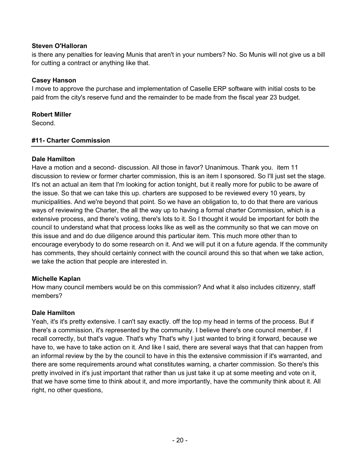# **Steven O'Halloran**

is there any penalties for leaving Munis that aren't in your numbers? No. So Munis will not give us a bill for cutting a contract or anything like that.

# **Casey Hanson**

I move to approve the purchase and implementation of Caselle ERP software with initial costs to be paid from the city's reserve fund and the remainder to be made from the fiscal year 23 budget.

# **Robert Miller**

Second.

# **#11- Charter Commission**

# **Dale Hamilton**

Have a motion and a second- discussion. All those in favor? Unanimous. Thank you. item 11 discussion to review or former charter commission, this is an item I sponsored. So I'll just set the stage. It's not an actual an item that I'm looking for action tonight, but it really more for public to be aware of the issue. So that we can take this up. charters are supposed to be reviewed every 10 years, by municipalities. And we're beyond that point. So we have an obligation to, to do that there are various ways of reviewing the Charter, the all the way up to having a formal charter Commission, which is a extensive process, and there's voting, there's lots to it. So I thought it would be important for both the council to understand what that process looks like as well as the community so that we can move on this issue and and do due diligence around this particular item. This much more other than to encourage everybody to do some research on it. And we will put it on a future agenda. If the community has comments, they should certainly connect with the council around this so that when we take action, we take the action that people are interested in.

# **Michelle Kaplan**

How many council members would be on this commission? And what it also includes citizenry, staff members?

#### **Dale Hamilton**

Yeah, it's it's pretty extensive. I can't say exactly. off the top my head in terms of the process. But if there's a commission, it's represented by the community. I believe there's one council member, if I recall correctly, but that's vague. That's why That's why I just wanted to bring it forward, because we have to, we have to take action on it. And like I said, there are several ways that that can happen from an informal review by the by the council to have in this the extensive commission if it's warranted, and there are some requirements around what constitutes warning, a charter commission. So there's this pretty involved in it's just important that rather than us just take it up at some meeting and vote on it, that we have some time to think about it, and more importantly, have the community think about it. All right, no other questions,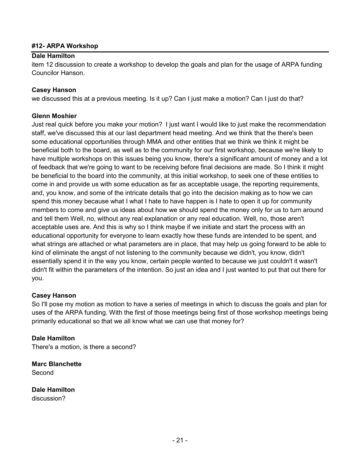# **#12- ARPA Workshop**

# **Dale Hamilton**

item 12 discussion to create a workshop to develop the goals and plan for the usage of ARPA funding Councilor Hanson.

# **Casey Hanson**

we discussed this at a previous meeting. Is it up? Can I just make a motion? Can I just do that?

# **Glenn Moshier**

Just real quick before you make your motion? I just want I would like to just make the recommendation staff, we've discussed this at our last department head meeting. And we think that the there's been some educational opportunities through MMA and other entities that we think we think it might be beneficial both to the board, as well as to the community for our first workshop, because we're likely to have multiple workshops on this issues being you know, there's a significant amount of money and a lot of feedback that we're going to want to be receiving before final decisions are made. So I think it might be beneficial to the board into the community, at this initial workshop, to seek one of these entities to come in and provide us with some education as far as acceptable usage, the reporting requirements, and, you know, and some of the intricate details that go into the decision making as to how we can spend this money because what I what I hate to have happen is I hate to open it up for community members to come and give us ideas about how we should spend the money only for us to turn around and tell them Well, no, without any real explanation or any real education. Well, no, those aren't acceptable uses are. And this is why so I think maybe if we initiate and start the process with an educational opportunity for everyone to learn exactly how these funds are intended to be spent, and what strings are attached or what parameters are in place, that may help us going forward to be able to kind of eliminate the angst of not listening to the community because we didn't, you know, didn't essentially spend it in the way you know, certain people wanted to because we just couldn't it wasn't didn't fit within the parameters of the intention. So just an idea and I just wanted to put that out there for you.

#### **Casey Hanson**

So I'll pose my motion as motion to have a series of meetings in which to discuss the goals and plan for uses of the ARPA funding. With the first of those meetings being first of those workshop meetings being primarily educational so that we all know what we can use that money for?

#### **Dale Hamilton**

There's a motion, is there a second?

**Marc Blanchette**  Second

**Dale Hamilton**  discussion?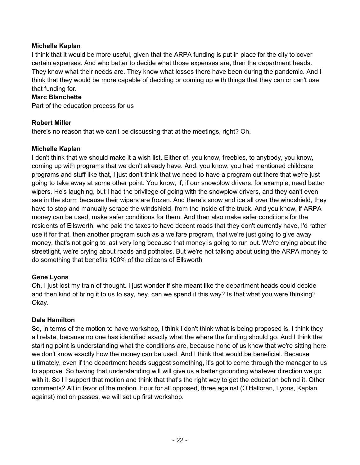# **Michelle Kaplan**

I think that it would be more useful, given that the ARPA funding is put in place for the city to cover certain expenses. And who better to decide what those expenses are, then the department heads. They know what their needs are. They know what losses there have been during the pandemic. And I think that they would be more capable of deciding or coming up with things that they can or can't use that funding for.

# **Marc Blanchette**

Part of the education process for us

# **Robert Miller**

there's no reason that we can't be discussing that at the meetings, right? Oh,

# **Michelle Kaplan**

I don't think that we should make it a wish list. Either of, you know, freebies, to anybody, you know, coming up with programs that we don't already have. And, you know, you had mentioned childcare programs and stuff like that, I just don't think that we need to have a program out there that we're just going to take away at some other point. You know, if, if our snowplow drivers, for example, need better wipers. He's laughing, but I had the privilege of going with the snowplow drivers, and they can't even see in the storm because their wipers are frozen. And there's snow and ice all over the windshield, they have to stop and manually scrape the windshield, from the inside of the truck. And you know, if ARPA money can be used, make safer conditions for them. And then also make safer conditions for the residents of Ellsworth, who paid the taxes to have decent roads that they don't currently have, I'd rather use it for that, then another program such as a welfare program, that we're just going to give away money, that's not going to last very long because that money is going to run out. We're crying about the streetlight, we're crying about roads and potholes. But we're not talking about using the ARPA money to do something that benefits 100% of the citizens of Ellsworth

# **Gene Lyons**

Oh, I just lost my train of thought. I just wonder if she meant like the department heads could decide and then kind of bring it to us to say, hey, can we spend it this way? Is that what you were thinking? Okay.

# **Dale Hamilton**

So, in terms of the motion to have workshop, I think I don't think what is being proposed is, I think they all relate, because no one has identified exactly what the where the funding should go. And I think the starting point is understanding what the conditions are, because none of us know that we're sitting here we don't know exactly how the money can be used. And I think that would be beneficial. Because ultimately, even if the department heads suggest something, it's got to come through the manager to us to approve. So having that understanding will will give us a better grounding whatever direction we go with it. So I I support that motion and think that that's the right way to get the education behind it. Other comments? All in favor of the motion. Four for all opposed, three against (O'Halloran, Lyons, Kaplan against) motion passes, we will set up first workshop.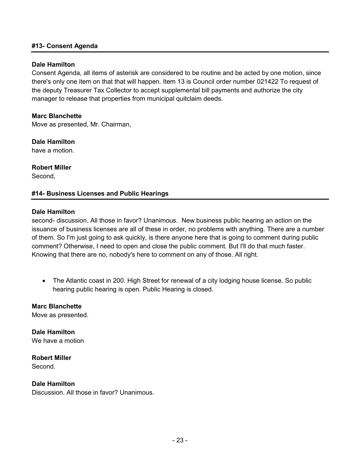#### **#13- Consent Agenda**

#### **Dale Hamilton**

Consent Agenda, all items of asterisk are considered to be routine and be acted by one motion, since there's only one item on that that will happen. Item 13 is Council order number 021422 To request of the deputy Treasurer Tax Collector to accept supplemental bill payments and authorize the city manager to release that properties from municipal quitclaim deeds.

#### **Marc Blanchette**

Move as presented, Mr. Chairman,

**Dale Hamilton** 

have a motion.

**Robert Miller**  Second,

#### **#14- Business Licenses and Public Hearings**

#### **Dale Hamilton**

second- discussion. All those in favor? Unanimous. New business public hearing an action on the issuance of business licenses are all of these in order, no problems with anything. There are a number of them. So I'm just going to ask quickly, is there anyone here that is going to comment during public comment? Otherwise, I need to open and close the public comment. But I'll do that much faster. Knowing that there are no, nobody's here to comment on any of those. All right.

• The Atlantic coast in 200. High Street for renewal of a city lodging house license. So public hearing public hearing is open. Public Hearing is closed.

**Marc Blanchette**  Move as presented.

**Dale Hamilton**  We have a motion

**Robert Miller**  Second.

**Dale Hamilton**  Discussion. All those in favor? Unanimous.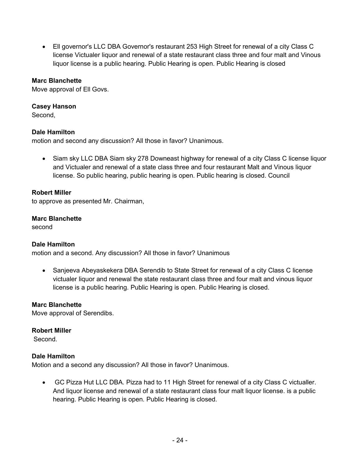Ell governor's LLC DBA Governor's restaurant 253 High Street for renewal of a city Class C license Victualer liquor and renewal of a state restaurant class three and four malt and Vinous liquor license is a public hearing. Public Hearing is open. Public Hearing is closed

# **Marc Blanchette**

Move approval of Ell Govs.

#### **Casey Hanson**

Second,

# **Dale Hamilton**

motion and second any discussion? All those in favor? Unanimous.

• Siam sky LLC DBA Siam sky 278 Downeast highway for renewal of a city Class C license liquor and Victualer and renewal of a state class three and four restaurant Malt and Vinous liquor license. So public hearing, public hearing is open. Public hearing is closed. Council

#### **Robert Miller**

to approve as presented Mr. Chairman,

#### **Marc Blanchette**

second

#### **Dale Hamilton**

motion and a second. Any discussion? All those in favor? Unanimous

 Sanjeeva Abeyaskekera DBA Serendib to State Street for renewal of a city Class C license victualer liquor and renewal the state restaurant class three and four malt and vinous liquor license is a public hearing. Public Hearing is open. Public Hearing is closed.

#### **Marc Blanchette**

Move approval of Serendibs.

#### **Robert Miller**

Second.

#### **Dale Hamilton**

Motion and a second any discussion? All those in favor? Unanimous.

 GC Pizza Hut LLC DBA. Pizza had to 11 High Street for renewal of a city Class C victualler. And liquor license and renewal of a state restaurant class four malt liquor license. is a public hearing. Public Hearing is open. Public Hearing is closed.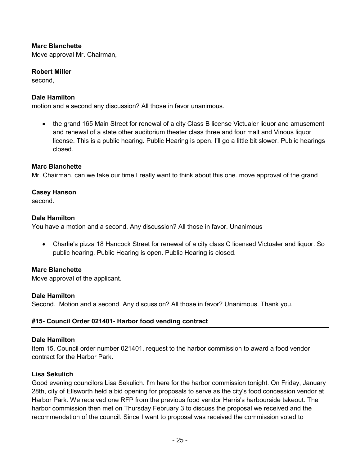# **Marc Blanchette**

Move approval Mr. Chairman,

#### **Robert Miller**

second,

#### **Dale Hamilton**

motion and a second any discussion? All those in favor unanimous.

• the grand 165 Main Street for renewal of a city Class B license Victualer liquor and amusement and renewal of a state other auditorium theater class three and four malt and Vinous liquor license. This is a public hearing. Public Hearing is open. I'll go a little bit slower. Public hearings closed.

#### **Marc Blanchette**

Mr. Chairman, can we take our time I really want to think about this one. move approval of the grand

#### **Casey Hanson**

second.

#### **Dale Hamilton**

You have a motion and a second. Any discussion? All those in favor. Unanimous

 Charlie's pizza 18 Hancock Street for renewal of a city class C licensed Victualer and liquor. So public hearing. Public Hearing is open. Public Hearing is closed.

#### **Marc Blanchette**

Move approval of the applicant.

#### **Dale Hamilton**

Second. Motion and a second. Any discussion? All those in favor? Unanimous. Thank you.

#### **#15- Council Order 021401- Harbor food vending contract**

#### **Dale Hamilton**

Item 15. Council order number 021401. request to the harbor commission to award a food vendor contract for the Harbor Park.

#### **Lisa Sekulich**

Good evening councilors Lisa Sekulich. I'm here for the harbor commission tonight. On Friday, January 28th, city of Ellsworth held a bid opening for proposals to serve as the city's food concession vendor at Harbor Park. We received one RFP from the previous food vendor Harris's harbourside takeout. The harbor commission then met on Thursday February 3 to discuss the proposal we received and the recommendation of the council. Since I want to proposal was received the commission voted to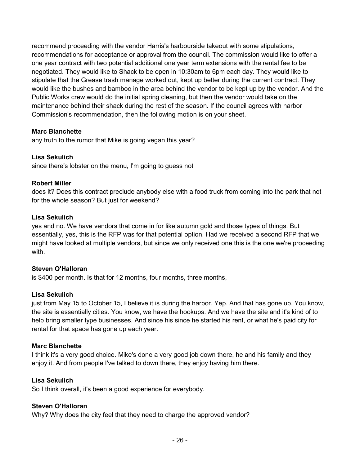recommend proceeding with the vendor Harris's harbourside takeout with some stipulations, recommendations for acceptance or approval from the council. The commission would like to offer a one year contract with two potential additional one year term extensions with the rental fee to be negotiated. They would like to Shack to be open in 10:30am to 6pm each day. They would like to stipulate that the Grease trash manage worked out, kept up better during the current contract. They would like the bushes and bamboo in the area behind the vendor to be kept up by the vendor. And the Public Works crew would do the initial spring cleaning, but then the vendor would take on the maintenance behind their shack during the rest of the season. If the council agrees with harbor Commission's recommendation, then the following motion is on your sheet.

# **Marc Blanchette**

any truth to the rumor that Mike is going vegan this year?

# **Lisa Sekulich**

since there's lobster on the menu, I'm going to guess not

# **Robert Miller**

does it? Does this contract preclude anybody else with a food truck from coming into the park that not for the whole season? But just for weekend?

# **Lisa Sekulich**

yes and no. We have vendors that come in for like autumn gold and those types of things. But essentially, yes, this is the RFP was for that potential option. Had we received a second RFP that we might have looked at multiple vendors, but since we only received one this is the one we're proceeding with.

#### **Steven O'Halloran**

is \$400 per month. Is that for 12 months, four months, three months,

#### **Lisa Sekulich**

just from May 15 to October 15, I believe it is during the harbor. Yep. And that has gone up. You know, the site is essentially cities. You know, we have the hookups. And we have the site and it's kind of to help bring smaller type businesses. And since his since he started his rent, or what he's paid city for rental for that space has gone up each year.

#### **Marc Blanchette**

I think it's a very good choice. Mike's done a very good job down there, he and his family and they enjoy it. And from people I've talked to down there, they enjoy having him there.

#### **Lisa Sekulich**

So I think overall, it's been a good experience for everybody.

# **Steven O'Halloran**

Why? Why does the city feel that they need to charge the approved vendor?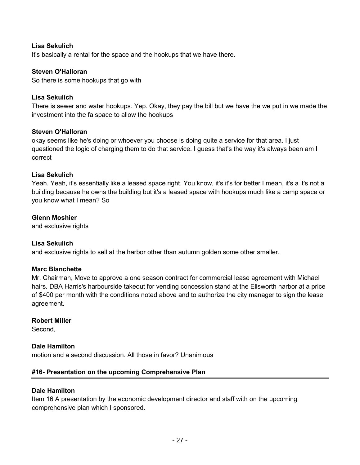# **Lisa Sekulich**

It's basically a rental for the space and the hookups that we have there.

#### **Steven O'Halloran**

So there is some hookups that go with

#### **Lisa Sekulich**

There is sewer and water hookups. Yep. Okay, they pay the bill but we have the we put in we made the investment into the fa space to allow the hookups

#### **Steven O'Halloran**

okay seems like he's doing or whoever you choose is doing quite a service for that area. I just questioned the logic of charging them to do that service. I guess that's the way it's always been am I correct

#### **Lisa Sekulich**

Yeah. Yeah, it's essentially like a leased space right. You know, it's it's for better I mean, it's a it's not a building because he owns the building but it's a leased space with hookups much like a camp space or you know what I mean? So

# **Glenn Moshier**

and exclusive rights

#### **Lisa Sekulich**

and exclusive rights to sell at the harbor other than autumn golden some other smaller.

#### **Marc Blanchette**

Mr. Chairman, Move to approve a one season contract for commercial lease agreement with Michael hairs. DBA Harris's harbourside takeout for vending concession stand at the Ellsworth harbor at a price of \$400 per month with the conditions noted above and to authorize the city manager to sign the lease agreement.

#### **Robert Miller**

Second,

#### **Dale Hamilton**

motion and a second discussion. All those in favor? Unanimous

#### **#16- Presentation on the upcoming Comprehensive Plan**

#### **Dale Hamilton**

Item 16 A presentation by the economic development director and staff with on the upcoming comprehensive plan which I sponsored.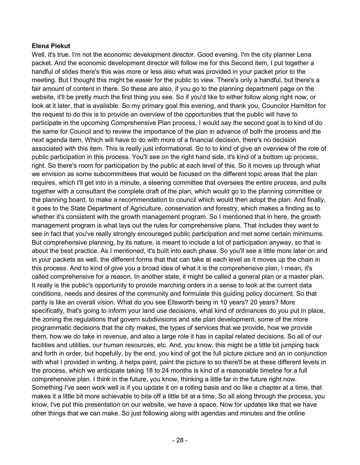# **Elena Piekut**

Well, it's true. I'm not the economic development director. Good evening. I'm the city planner Lena packet. And the economic development director will follow me for this Second item, I put together a handful of slides there's this was more or less also what was provided in your packet prior to the meeting. But I thought this might be easier for the public to view. There's only a handful, but there's a fair amount of content in there. So these are also, if you go to the planning department page on the website, it'll be pretty much the first thing you see. So if you'd like to either follow along right now, or look at it later, that is available. So my primary goal this evening, and thank you, Councilor Hamilton for the request to do this is to provide an overview of the opportunities that the public will have to participate in the upcoming Comprehensive Plan process, I would say the second goal is to kind of do the same for Council and to review the importance of the plan in advance of both the process and the next agenda item. Which will have to do with more of a financial decision, there's no decision associated with this item. This is really just informational. So to to kind of give an overview of the role of public participation in this process. You'll see on the right hand side, it's kind of a bottom up process, right. So there's room for participation by the public at each level of this. So it moves up through what we envision as some subcommittees that would be focused on the different topic areas that the plan requires, which I'll get into in a minute, a steering committee that oversees the entire process, and pulls together with a consultant the complete draft of the plan, which would go to the planning committee or the planning board, to make a recommendation to council which would then adopt the plan. And finally, it goes to the State Department of Agriculture, conservation and forestry, which makes a finding as to whether it's consistent with the growth management program. So I mentioned that in here, the growth management program is what lays out the rules for comprehensive plans. That includes they want to see in fact that you've really strongly encouraged public participation and met some certain minimums. But comprehensive planning, by its nature, is meant to include a lot of participation anyway, so that is about the best practice. As I mentioned, it's built into each phase. So you'll see a little more later on and in your packets as well, the different forms that that can take at each level as it moves up the chain in this process. And to kind of give you a broad idea of what it is the comprehensive plan, I mean, it's called comprehensive for a reason. In another state, it might be called a general plan or a master plan. It really is the public's opportunity to provide marching orders in a sense to look at the current data conditions, needs and desires of the community and formulate this guiding policy document. So that partly is like an overall vision. What do you see Ellsworth being in 10 years? 20 years? More specifically, that's going to inform your land use decisions, what kind of ordinances do you put in place, the zoning the regulations that govern subdivisions and site plan development, some of the more programmatic decisions that the city makes, the types of services that we provide, how we provide them, how we do take in revenue, and also a large role it has in capital related decisions. So all of our facilities and utilities, our human resources, etc. And, you know, this might be a little bit jumping back and forth in order, but hopefully, by the end, you kind of got the full picture picture and an in conjunction with what I provided in writing, it helps paint, paint the picture to so there'll be at these different levels in the process, which we anticipate taking 18 to 24 months is kind of a reasonable timeline for a full comprehensive plan. I think in the future, you know, thinking a little far in the future right now. Something I've seen work well is if you update it on a rolling basis and do like a chapter at a time, that makes it a little bit more achievable to bite off a little bit at a time. So all along through the process, you know, I've put this presentation on our website, we have a space. Now for updates like that we have other things that we can make. So just following along with agendas and minutes and the online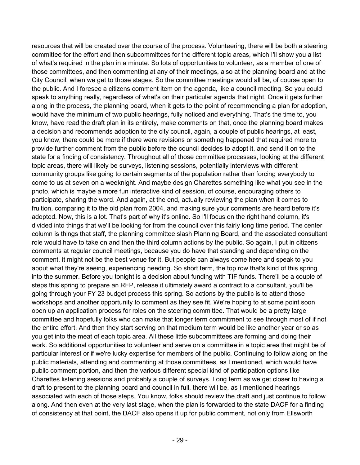resources that will be created over the course of the process. Volunteering, there will be both a steering committee for the effort and then subcommittees for the different topic areas, which I'll show you a list of what's required in the plan in a minute. So lots of opportunities to volunteer, as a member of one of those committees, and then commenting at any of their meetings, also at the planning board and at the City Council, when we get to those stages. So the committee meetings would all be, of course open to the public. And I foresee a citizens comment item on the agenda, like a council meeting. So you could speak to anything really, regardless of what's on their particular agenda that night. Once it gets further along in the process, the planning board, when it gets to the point of recommending a plan for adoption, would have the minimum of two public hearings, fully noticed and everything. That's the time to, you know, have read the draft plan in its entirety, make comments on that, once the planning board makes a decision and recommends adoption to the city council, again, a couple of public hearings, at least, you know, there could be more if there were revisions or something happened that required more to provide further comment from the public before the council decides to adopt it, and send it on to the state for a finding of consistency. Throughout all of those committee processes, looking at the different topic areas, there will likely be surveys, listening sessions, potentially interviews with different community groups like going to certain segments of the population rather than forcing everybody to come to us at seven on a weeknight. And maybe design Charettes something like what you see in the photo, which is maybe a more fun interactive kind of session, of course, encouraging others to participate, sharing the word. And again, at the end, actually reviewing the plan when it comes to fruition, comparing it to the old plan from 2004, and making sure your comments are heard before it's adopted. Now, this is a lot. That's part of why it's online. So I'll focus on the right hand column, it's divided into things that we'll be looking for from the council over this fairly long time period. The center column is things that staff, the planning committee slash Planning Board, and the associated consultant role would have to take on and then the third column actions by the public. So again, I put in citizens comments at regular council meetings, because you do have that standing and depending on the comment, it might not be the best venue for it. But people can always come here and speak to you about what they're seeing, experiencing needing. So short term, the top row that's kind of this spring into the summer. Before you tonight is a decision about funding with TIF funds. There'll be a couple of steps this spring to prepare an RFP, release it ultimately award a contract to a consultant, you'll be going through your FY 23 budget process this spring. So actions by the public is to attend those workshops and another opportunity to comment as they see fit. We're hoping to at some point soon open up an application process for roles on the steering committee. That would be a pretty large committee and hopefully folks who can make that longer term commitment to see through most of if not the entire effort. And then they start serving on that medium term would be like another year or so as you get into the meat of each topic area. All these little subcommittees are forming and doing their work. So additional opportunities to volunteer and serve on a committee in a topic area that might be of particular interest or if we're lucky expertise for members of the public. Continuing to follow along on the public materials, attending and commenting at those committees, as I mentioned, which would have public comment portion, and then the various different special kind of participation options like Charettes listening sessions and probably a couple of surveys. Long term as we get closer to having a draft to present to the planning board and council in full, there will be, as I mentioned hearings associated with each of those steps. You know, folks should review the draft and just continue to follow along. And then even at the very last stage, when the plan is forwarded to the state DACF for a finding of consistency at that point, the DACF also opens it up for public comment, not only from Ellsworth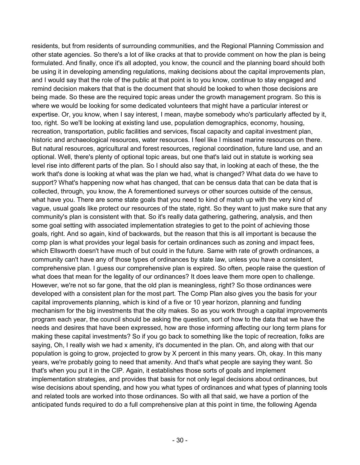residents, but from residents of surrounding communities, and the Regional Planning Commission and other state agencies. So there's a lot of like cracks at that to provide comment on how the plan is being formulated. And finally, once it's all adopted, you know, the council and the planning board should both be using it in developing amending regulations, making decisions about the capital improvements plan, and I would say that the role of the public at that point is to you know, continue to stay engaged and remind decision makers that that is the document that should be looked to when those decisions are being made. So these are the required topic areas under the growth management program. So this is where we would be looking for some dedicated volunteers that might have a particular interest or expertise. Or, you know, when I say interest, I mean, maybe somebody who's particularly affected by it, too, right. So we'll be looking at existing land use, population demographics, economy, housing, recreation, transportation, public facilities and services, fiscal capacity and capital investment plan, historic and archaeological resources, water resources. I feel like I missed marine resources on there. But natural resources, agricultural and forest resources, regional coordination, future land use, and an optional. Well, there's plenty of optional topic areas, but one that's laid out in statute is working sea level rise into different parts of the plan. So I should also say that, in looking at each of these, the the work that's done is looking at what was the plan we had, what is changed? What data do we have to support? What's happening now what has changed, that can be census data that can be data that is collected, through, you know, the A forementioned surveys or other sources outside of the census, what have you. There are some state goals that you need to kind of match up with the very kind of vague, usual goals like protect our resources of the state, right. So they want to just make sure that any community's plan is consistent with that. So it's really data gathering, gathering, analysis, and then some goal setting with associated implementation strategies to get to the point of achieving those goals, right. And so again, kind of backwards, but the reason that this is all important is because the comp plan is what provides your legal basis for certain ordinances such as zoning and impact fees, which Ellsworth doesn't have much of but could in the future. Same with rate of growth ordinances, a community can't have any of those types of ordinances by state law, unless you have a consistent, comprehensive plan. I guess our comprehensive plan is expired. So often, people raise the question of what does that mean for the legality of our ordinances? It does leave them more open to challenge. However, we're not so far gone, that the old plan is meaningless, right? So those ordinances were developed with a consistent plan for the most part. The Comp Plan also gives you the basis for your capital improvements planning, which is kind of a five or 10 year horizon, planning and funding mechanism for the big investments that the city makes. So as you work through a capital improvements program each year, the council should be asking the question, sort of how to the data that we have the needs and desires that have been expressed, how are those informing affecting our long term plans for making these capital investments? So if you go back to something like the topic of recreation, folks are saying, Oh, I really wish we had x amenity, it's documented in the plan. Oh, and along with that our population is going to grow, projected to grow by X percent in this many years. Oh, okay. In this many years, we're probably going to need that amenity. And that's what people are saying they want. So that's when you put it in the CIP. Again, it establishes those sorts of goals and implement implementation strategies, and provides that basis for not only legal decisions about ordinances, but wise decisions about spending, and how you what types of ordinances and what types of planning tools and related tools are worked into those ordinances. So with all that said, we have a portion of the anticipated funds required to do a full comprehensive plan at this point in time, the following Agenda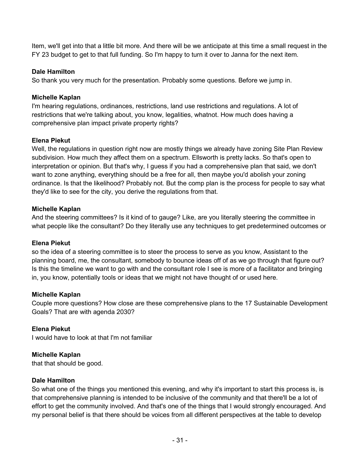Item, we'll get into that a little bit more. And there will be we anticipate at this time a small request in the FY 23 budget to get to that full funding. So I'm happy to turn it over to Janna for the next item.

# **Dale Hamilton**

So thank you very much for the presentation. Probably some questions. Before we jump in.

# **Michelle Kaplan**

I'm hearing regulations, ordinances, restrictions, land use restrictions and regulations. A lot of restrictions that we're talking about, you know, legalities, whatnot. How much does having a comprehensive plan impact private property rights?

# **Elena Piekut**

Well, the regulations in question right now are mostly things we already have zoning Site Plan Review subdivision. How much they affect them on a spectrum. Ellsworth is pretty lacks. So that's open to interpretation or opinion. But that's why, I guess if you had a comprehensive plan that said, we don't want to zone anything, everything should be a free for all, then maybe you'd abolish your zoning ordinance. Is that the likelihood? Probably not. But the comp plan is the process for people to say what they'd like to see for the city, you derive the regulations from that.

# **Michelle Kaplan**

And the steering committees? Is it kind of to gauge? Like, are you literally steering the committee in what people like the consultant? Do they literally use any techniques to get predetermined outcomes or

# **Elena Piekut**

so the idea of a steering committee is to steer the process to serve as you know, Assistant to the planning board, me, the consultant, somebody to bounce ideas off of as we go through that figure out? Is this the timeline we want to go with and the consultant role I see is more of a facilitator and bringing in, you know, potentially tools or ideas that we might not have thought of or used here.

# **Michelle Kaplan**

Couple more questions? How close are these comprehensive plans to the 17 Sustainable Development Goals? That are with agenda 2030?

# **Elena Piekut**

I would have to look at that I'm not familiar

# **Michelle Kaplan**

that that should be good.

# **Dale Hamilton**

So what one of the things you mentioned this evening, and why it's important to start this process is, is that comprehensive planning is intended to be inclusive of the community and that there'll be a lot of effort to get the community involved. And that's one of the things that I would strongly encouraged. And my personal belief is that there should be voices from all different perspectives at the table to develop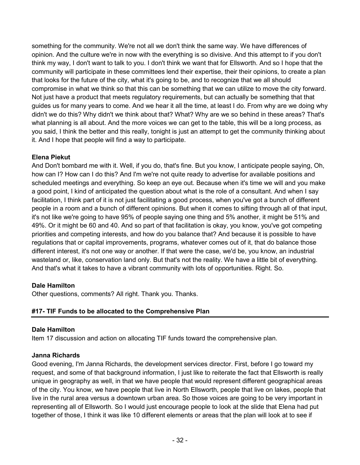something for the community. We're not all we don't think the same way. We have differences of opinion. And the culture we're in now with the everything is so divisive. And this attempt to if you don't think my way, I don't want to talk to you. I don't think we want that for Ellsworth. And so I hope that the community will participate in these committees lend their expertise, their their opinions, to create a plan that looks for the future of the city, what it's going to be, and to recognize that we all should compromise in what we think so that this can be something that we can utilize to move the city forward. Not just have a product that meets regulatory requirements, but can actually be something that that guides us for many years to come. And we hear it all the time, at least I do. From why are we doing why didn't we do this? Why didn't we think about that? What? Why are we so behind in these areas? That's what planning is all about. And the more voices we can get to the table, this will be a long process, as you said, I think the better and this really, tonight is just an attempt to get the community thinking about it. And I hope that people will find a way to participate.

# **Elena Piekut**

And Don't bombard me with it. Well, if you do, that's fine. But you know, I anticipate people saying, Oh, how can I? How can I do this? And I'm we're not quite ready to advertise for available positions and scheduled meetings and everything. So keep an eye out. Because when it's time we will and you make a good point, I kind of anticipated the question about what is the role of a consultant. And when I say facilitation, I think part of it is not just facilitating a good process, when you've got a bunch of different people in a room and a bunch of different opinions. But when it comes to sifting through all of that input, it's not like we're going to have 95% of people saying one thing and 5% another, it might be 51% and 49%. Or it might be 60 and 40. And so part of that facilitation is okay, you know, you've got competing priorities and competing interests, and how do you balance that? And because it is possible to have regulations that or capital improvements, programs, whatever comes out of it, that do balance those different interest, it's not one way or another. If that were the case, we'd be, you know, an industrial wasteland or, like, conservation land only. But that's not the reality. We have a little bit of everything. And that's what it takes to have a vibrant community with lots of opportunities. Right. So.

# **Dale Hamilton**

Other questions, comments? All right. Thank you. Thanks.

# **#17- TIF Funds to be allocated to the Comprehensive Plan**

# **Dale Hamilton**

Item 17 discussion and action on allocating TIF funds toward the comprehensive plan.

# **Janna Richards**

Good evening, I'm Janna Richards, the development services director. First, before I go toward my request, and some of that background information, I just like to reiterate the fact that Ellsworth is really unique in geography as well, in that we have people that would represent different geographical areas of the city. You know, we have people that live in North Ellsworth, people that live on lakes, people that live in the rural area versus a downtown urban area. So those voices are going to be very important in representing all of Ellsworth. So I would just encourage people to look at the slide that Elena had put together of those, I think it was like 10 different elements or areas that the plan will look at to see if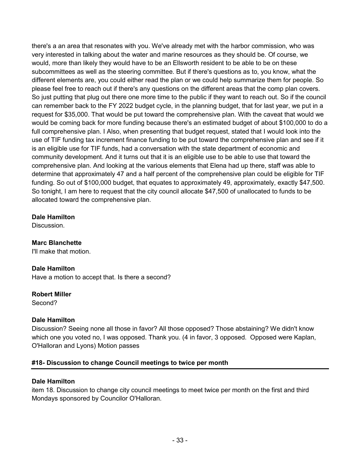there's a an area that resonates with you. We've already met with the harbor commission, who was very interested in talking about the water and marine resources as they should be. Of course, we would, more than likely they would have to be an Ellsworth resident to be able to be on these subcommittees as well as the steering committee. But if there's questions as to, you know, what the different elements are, you could either read the plan or we could help summarize them for people. So please feel free to reach out if there's any questions on the different areas that the comp plan covers. So just putting that plug out there one more time to the public if they want to reach out. So if the council can remember back to the FY 2022 budget cycle, in the planning budget, that for last year, we put in a request for \$35,000. That would be put toward the comprehensive plan. With the caveat that would we would be coming back for more funding because there's an estimated budget of about \$100,000 to do a full comprehensive plan. I Also, when presenting that budget request, stated that I would look into the use of TIF funding tax increment finance funding to be put toward the comprehensive plan and see if it is an eligible use for TIF funds, had a conversation with the state department of economic and community development. And it turns out that it is an eligible use to be able to use that toward the comprehensive plan. And looking at the various elements that Elena had up there, staff was able to determine that approximately 47 and a half percent of the comprehensive plan could be eligible for TIF funding. So out of \$100,000 budget, that equates to approximately 49, approximately, exactly \$47,500. So tonight, I am here to request that the city council allocate \$47,500 of unallocated to funds to be allocated toward the comprehensive plan.

# **Dale Hamilton**

**Discussion** 

# **Marc Blanchette**

I'll make that motion.

# **Dale Hamilton**

Have a motion to accept that. Is there a second?

# **Robert Miller**

Second?

# **Dale Hamilton**

Discussion? Seeing none all those in favor? All those opposed? Those abstaining? We didn't know which one you voted no, I was opposed. Thank you. (4 in favor, 3 opposed. Opposed were Kaplan, O'Halloran and Lyons) Motion passes

# **#18- Discussion to change Council meetings to twice per month**

# **Dale Hamilton**

item 18. Discussion to change city council meetings to meet twice per month on the first and third Mondays sponsored by Councilor O'Halloran.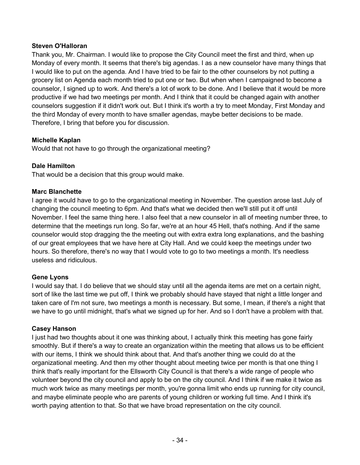# **Steven O'Halloran**

Thank you, Mr. Chairman. I would like to propose the City Council meet the first and third, when up Monday of every month. It seems that there's big agendas. I as a new counselor have many things that I would like to put on the agenda. And I have tried to be fair to the other counselors by not putting a grocery list on Agenda each month tried to put one or two. But when when I campaigned to become a counselor, I signed up to work. And there's a lot of work to be done. And I believe that it would be more productive if we had two meetings per month. And I think that it could be changed again with another counselors suggestion if it didn't work out. But I think it's worth a try to meet Monday, First Monday and the third Monday of every month to have smaller agendas, maybe better decisions to be made. Therefore, I bring that before you for discussion.

# **Michelle Kaplan**

Would that not have to go through the organizational meeting?

# **Dale Hamilton**

That would be a decision that this group would make.

#### **Marc Blanchette**

I agree it would have to go to the organizational meeting in November. The question arose last July of changing the council meeting to 6pm. And that's what we decided then we'll still put it off until November. I feel the same thing here. I also feel that a new counselor in all of meeting number three, to determine that the meetings run long. So far, we're at an hour 45 Hell, that's nothing. And if the same counselor would stop dragging the the meeting out with extra extra long explanations, and the bashing of our great employees that we have here at City Hall. And we could keep the meetings under two hours. So therefore, there's no way that I would vote to go to two meetings a month. It's needless useless and ridiculous.

#### **Gene Lyons**

I would say that. I do believe that we should stay until all the agenda items are met on a certain night, sort of like the last time we put off, I think we probably should have stayed that night a little longer and taken care of I'm not sure, two meetings a month is necessary. But some, I mean, if there's a night that we have to go until midnight, that's what we signed up for her. And so I don't have a problem with that.

#### **Casey Hanson**

I just had two thoughts about it one was thinking about, I actually think this meeting has gone fairly smoothly. But if there's a way to create an organization within the meeting that allows us to be efficient with our items, I think we should think about that. And that's another thing we could do at the organizational meeting. And then my other thought about meeting twice per month is that one thing I think that's really important for the Ellsworth City Council is that there's a wide range of people who volunteer beyond the city council and apply to be on the city council. And I think if we make it twice as much work twice as many meetings per month, you're gonna limit who ends up running for city council, and maybe eliminate people who are parents of young children or working full time. And I think it's worth paying attention to that. So that we have broad representation on the city council.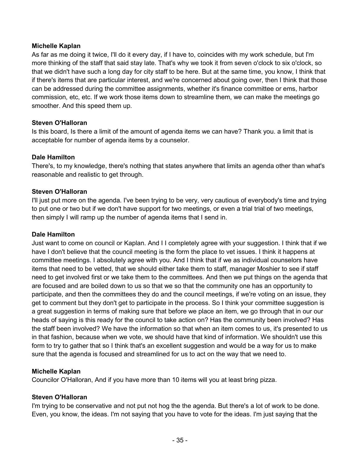# **Michelle Kaplan**

As far as me doing it twice, I'll do it every day, if I have to, coincides with my work schedule, but I'm more thinking of the staff that said stay late. That's why we took it from seven o'clock to six o'clock, so that we didn't have such a long day for city staff to be here. But at the same time, you know, I think that if there's items that are particular interest, and we're concerned about going over, then I think that those can be addressed during the committee assignments, whether it's finance committee or ems, harbor commission, etc, etc. If we work those items down to streamline them, we can make the meetings go smoother. And this speed them up.

# **Steven O'Halloran**

Is this board, Is there a limit of the amount of agenda items we can have? Thank you. a limit that is acceptable for number of agenda items by a counselor.

# **Dale Hamilton**

There's, to my knowledge, there's nothing that states anywhere that limits an agenda other than what's reasonable and realistic to get through.

# **Steven O'Halloran**

I'll just put more on the agenda. I've been trying to be very, very cautious of everybody's time and trying to put one or two but if we don't have support for two meetings, or even a trial trial of two meetings, then simply I will ramp up the number of agenda items that I send in.

#### **Dale Hamilton**

Just want to come on council or Kaplan. And I I completely agree with your suggestion. I think that if we have I don't believe that the council meeting is the form the place to vet issues. I think it happens at committee meetings. I absolutely agree with you. And I think that if we as individual counselors have items that need to be vetted, that we should either take them to staff, manager Moshier to see if staff need to get involved first or we take them to the committees. And then we put things on the agenda that are focused and are boiled down to us so that we so that the community one has an opportunity to participate, and then the committees they do and the council meetings, if we're voting on an issue, they get to comment but they don't get to participate in the process. So I think your committee suggestion is a great suggestion in terms of making sure that before we place an item, we go through that in our our heads of saying is this ready for the council to take action on? Has the community been involved? Has the staff been involved? We have the information so that when an item comes to us, it's presented to us in that fashion, because when we vote, we should have that kind of information. We shouldn't use this form to try to gather that so I think that's an excellent suggestion and would be a way for us to make sure that the agenda is focused and streamlined for us to act on the way that we need to.

#### **Michelle Kaplan**

Councilor O'Halloran, And if you have more than 10 items will you at least bring pizza.

#### **Steven O'Halloran**

I'm trying to be conservative and not put not hog the the agenda. But there's a lot of work to be done. Even, you know, the ideas. I'm not saying that you have to vote for the ideas. I'm just saying that the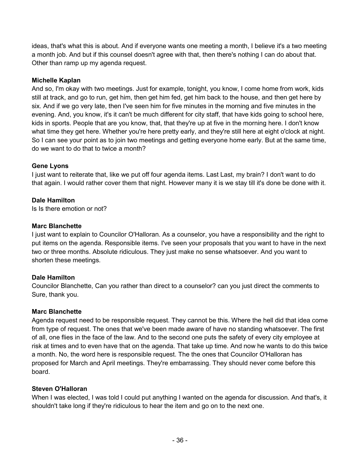ideas, that's what this is about. And if everyone wants one meeting a month, I believe it's a two meeting a month job. And but if this counsel doesn't agree with that, then there's nothing I can do about that. Other than ramp up my agenda request.

# **Michelle Kaplan**

And so, I'm okay with two meetings. Just for example, tonight, you know, I come home from work, kids still at track, and go to run, get him, then get him fed, get him back to the house, and then get here by six. And if we go very late, then I've seen him for five minutes in the morning and five minutes in the evening. And, you know, it's it can't be much different for city staff, that have kids going to school here, kids in sports. People that are you know, that, that they're up at five in the morning here. I don't know what time they get here. Whether you're here pretty early, and they're still here at eight o'clock at night. So I can see your point as to join two meetings and getting everyone home early. But at the same time, do we want to do that to twice a month?

# **Gene Lyons**

I just want to reiterate that, like we put off four agenda items. Last Last, my brain? I don't want to do that again. I would rather cover them that night. However many it is we stay till it's done be done with it.

# **Dale Hamilton**

Is Is there emotion or not?

# **Marc Blanchette**

I just want to explain to Councilor O'Halloran. As a counselor, you have a responsibility and the right to put items on the agenda. Responsible items. I've seen your proposals that you want to have in the next two or three months. Absolute ridiculous. They just make no sense whatsoever. And you want to shorten these meetings.

# **Dale Hamilton**

Councilor Blanchette, Can you rather than direct to a counselor? can you just direct the comments to Sure, thank you.

# **Marc Blanchette**

Agenda request need to be responsible request. They cannot be this. Where the hell did that idea come from type of request. The ones that we've been made aware of have no standing whatsoever. The first of all, one flies in the face of the law. And to the second one puts the safety of every city employee at risk at times and to even have that on the agenda. That take up time. And now he wants to do this twice a month. No, the word here is responsible request. The the ones that Councilor O'Halloran has proposed for March and April meetings. They're embarrassing. They should never come before this board.

# **Steven O'Halloran**

When I was elected, I was told I could put anything I wanted on the agenda for discussion. And that's, it shouldn't take long if they're ridiculous to hear the item and go on to the next one.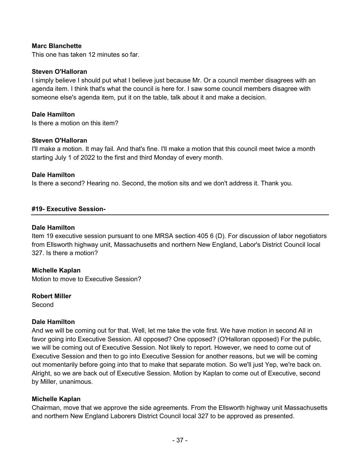#### **Marc Blanchette**

This one has taken 12 minutes so far.

#### **Steven O'Halloran**

I simply believe I should put what I believe just because Mr. Or a council member disagrees with an agenda item. I think that's what the council is here for. I saw some council members disagree with someone else's agenda item, put it on the table, talk about it and make a decision.

#### **Dale Hamilton**

Is there a motion on this item?

#### **Steven O'Halloran**

I'll make a motion. It may fail. And that's fine. I'll make a motion that this council meet twice a month starting July 1 of 2022 to the first and third Monday of every month.

#### **Dale Hamilton**

Is there a second? Hearing no. Second, the motion sits and we don't address it. Thank you.

#### **#19- Executive Session-**

#### **Dale Hamilton**

Item 19 executive session pursuant to one MRSA section 405 6 (D). For discussion of labor negotiators from Ellsworth highway unit, Massachusetts and northern New England, Labor's District Council local 327. Is there a motion?

#### **Michelle Kaplan**

Motion to move to Executive Session?

#### **Robert Miller**

Second

#### **Dale Hamilton**

And we will be coming out for that. Well, let me take the vote first. We have motion in second All in favor going into Executive Session. All opposed? One opposed? (O'Halloran opposed) For the public, we will be coming out of Executive Session. Not likely to report. However, we need to come out of Executive Session and then to go into Executive Session for another reasons, but we will be coming out momentarily before going into that to make that separate motion. So we'll just Yep, we're back on. Alright, so we are back out of Executive Session. Motion by Kaplan to come out of Executive, second by Miller, unanimous.

#### **Michelle Kaplan**

Chairman, move that we approve the side agreements. From the Ellsworth highway unit Massachusetts and northern New England Laborers District Council local 327 to be approved as presented.